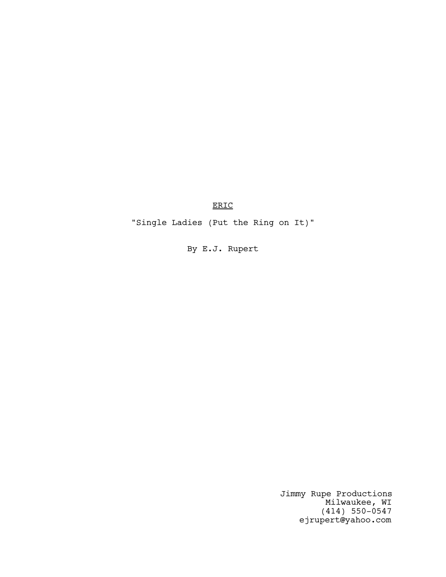ERIC

"Single Ladies (Put the Ring on It)"

By E.J. Rupert

Jimmy Rupe Productions Milwaukee, WI (414) 550-0547 ejrupert@yahoo.com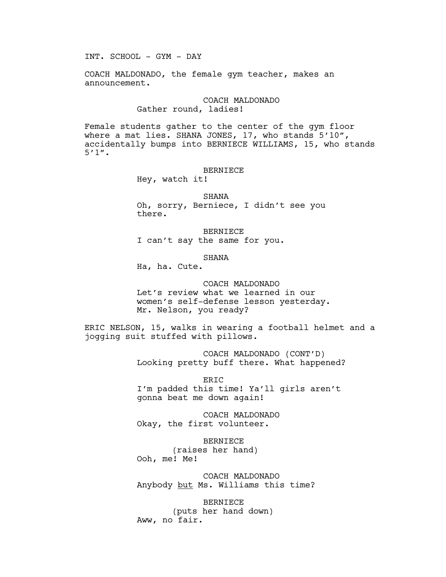INT. SCHOOL - GYM - DAY

COACH MALDONADO, the female gym teacher, makes an announcement.

# COACH MALDONADO Gather round, ladies!

Female students gather to the center of the gym floor where a mat lies. SHANA JONES, 17, who stands 5'10", accidentally bumps into BERNIECE WILLIAMS, 15, who stands 5'1".

### BERNIECE

Hey, watch it!

SHANA

Oh, sorry, Berniece, I didn't see you there.

BERNIECE I can't say the same for you.

#### SHANA

Ha, ha. Cute.

### COACH MALDONADO

Let's review what we learned in our women's self-defense lesson yesterday. Mr. Nelson, you ready?

ERIC NELSON, 15, walks in wearing a football helmet and a jogging suit stuffed with pillows.

> COACH MALDONADO (CONT'D) Looking pretty buff there. What happened?

ERIC I'm padded this time! Ya'll girls aren't gonna beat me down again!

COACH MALDONADO Okay, the first volunteer.

BERNIECE (raises her hand) Ooh, me! Me!

COACH MALDONADO Anybody but Ms. Williams this time?

BERNIECE (puts her hand down) Aww, no fair.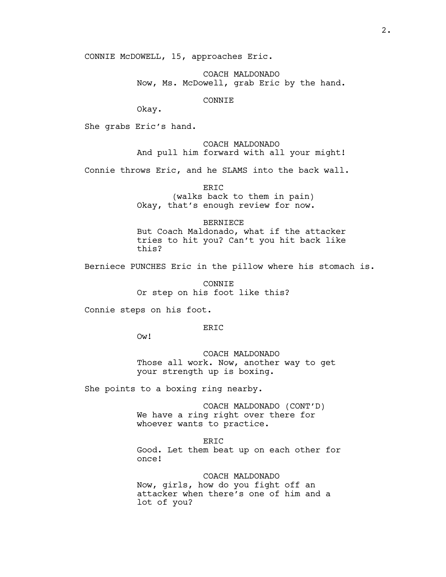CONNIE McDOWELL, 15, approaches Eric.

COACH MALDONADO Now, Ms. McDowell, grab Eric by the hand.

CONNIE

Okay.

She grabs Eric's hand.

# COACH MALDONADO And pull him forward with all your might!

Connie throws Eric, and he SLAMS into the back wall.

ERIC (walks back to them in pain) Okay, that's enough review for now.

# BERNIECE But Coach Maldonado, what if the attacker tries to hit you? Can't you hit back like this?

Berniece PUNCHES Eric in the pillow where his stomach is.

CONNIE Or step on his foot like this?

Connie steps on his foot.

ERIC

Ow!

COACH MALDONADO Those all work. Now, another way to get your strength up is boxing.

She points to a boxing ring nearby.

COACH MALDONADO (CONT'D) We have a ring right over there for whoever wants to practice.

ERIC Good. Let them beat up on each other for once!

COACH MALDONADO Now, girls, how do you fight off an attacker when there's one of him and a lot of you?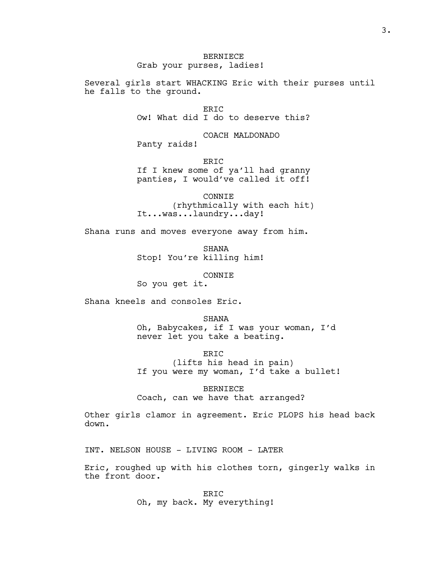BERNIECE Grab your purses, ladies!

Several girls start WHACKING Eric with their purses until he falls to the ground.

> ERIC Ow! What did I do to deserve this?

COACH MALDONADO Panty raids!

ERIC If I knew some of ya'll had granny panties, I would've called it off!

CONNIE (rhythmically with each hit) It...was...laundry...day!

Shana runs and moves everyone away from him.

**SHANA** Stop! You're killing him!

CONNIE

So you get it.

Shana kneels and consoles Eric.

SHANA Oh, Babycakes, if I was your woman, I'd never let you take a beating.

ERIC (lifts his head in pain) If you were my woman, I'd take a bullet!

BERNIECE Coach, can we have that arranged?

Other girls clamor in agreement. Eric PLOPS his head back down.

INT. NELSON HOUSE - LIVING ROOM - LATER

Eric, roughed up with his clothes torn, gingerly walks in the front door.

> ERIC Oh, my back. My everything!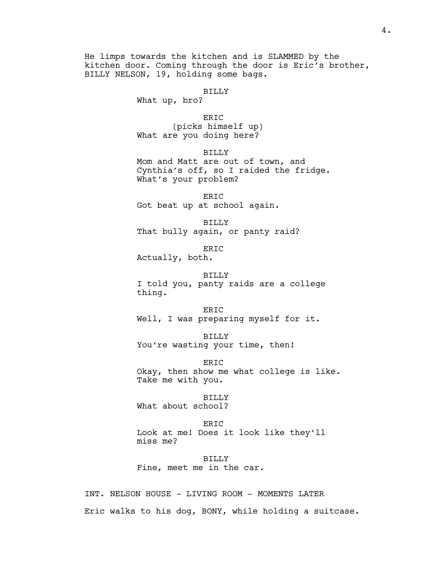He limps towards the kitchen and is SLAMMED by the kitchen door. Coming through the door is Eric's brother, BILLY NELSON, 19, holding some bags.

### BILLY

What up, bro?

ERIC (picks himself up) What are you doing here?

BILLY

Mom and Matt are out of town, and Cynthia's off, so I raided the fridge. What's your problem?

ERIC Got beat up at school again.

BILLY That bully again, or panty raid?

ERIC Actually, both.

BILLY I told you, panty raids are a college thing.

ERIC Well, I was preparing myself for it.

BILLY You're wasting your time, then!

ERIC Okay, then show me what college is like. Take me with you.

BILLY What about school?

ERIC Look at me! Does it look like they'll miss me?

BILLY Fine, meet me in the car.

INT. NELSON HOUSE - LIVING ROOM - MOMENTS LATER Eric walks to his dog, BONY, while holding a suitcase.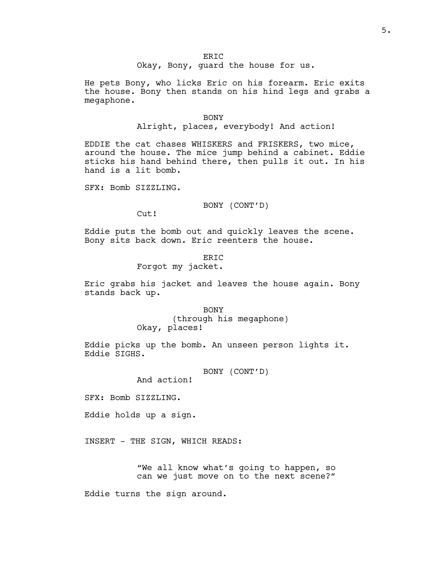He pets Bony, who licks Eric on his forearm. Eric exits the house. Bony then stands on his hind legs and grabs a megaphone.

#### BONY

Alright, places, everybody! And action!

EDDIE the cat chases WHISKERS and FRISKERS, two mice, around the house. The mice jump behind a cabinet. Eddie sticks his hand behind there, then pulls it out. In his hand is a lit bomb.

SFX: Bomb SIZZLING.

### BONY (CONT'D)

Cut!

Eddie puts the bomb out and quickly leaves the scene. Bony sits back down. Eric reenters the house.

> ERIC Forgot my jacket.

Eric grabs his jacket and leaves the house again. Bony stands back up.

> **BONY** (through his megaphone) Okay, places!

Eddie picks up the bomb. An unseen person lights it. Eddie SIGHS.

BONY (CONT'D)

And action!

SFX: Bomb SIZZLING.

Eddie holds up a sign.

INSERT - THE SIGN, WHICH READS:

"We all know what's going to happen, so can we just move on to the next scene?"

Eddie turns the sign around.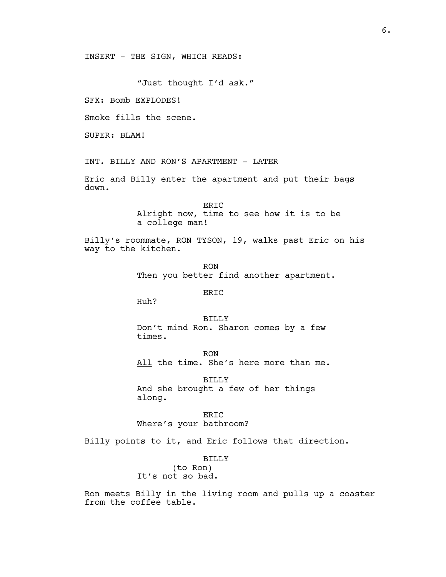INSERT - THE SIGN, WHICH READS:

"Just thought I'd ask."

SFX: Bomb EXPLODES!

Smoke fills the scene.

SUPER: BLAM!

INT. BILLY AND RON'S APARTMENT - LATER

Eric and Billy enter the apartment and put their bags down.

> ERIC Alright now, time to see how it is to be a college man!

Billy's roommate, RON TYSON, 19, walks past Eric on his way to the kitchen.

> RON Then you better find another apartment.

# ERIC

Huh?

BILLY Don't mind Ron. Sharon comes by a few times.

RON All the time. She's here more than me.

BILLY And she brought a few of her things along.

ER<sub>IC</sub> Where's your bathroom?

Billy points to it, and Eric follows that direction.

BILLY

(to Ron) It's not so bad.

Ron meets Billy in the living room and pulls up a coaster from the coffee table.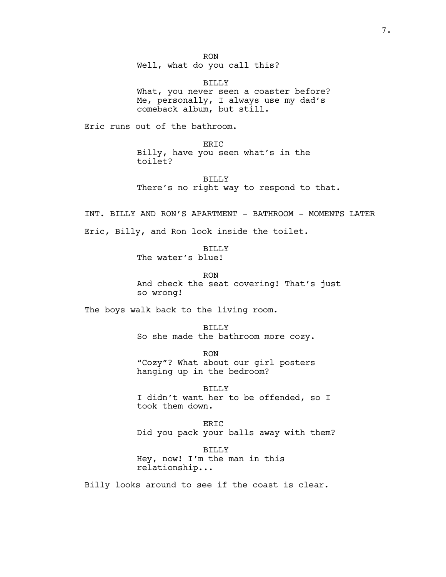RON

Well, what do you call this?

BILLY What, you never seen a coaster before? Me, personally, I always use my dad's comeback album, but still.

Eric runs out of the bathroom.

ERIC Billy, have you seen what's in the toilet?

BILLY There's no right way to respond to that.

INT. BILLY AND RON'S APARTMENT - BATHROOM - MOMENTS LATER Eric, Billy, and Ron look inside the toilet.

> BILLY The water's blue!

> > RON

And check the seat covering! That's just so wrong!

The boys walk back to the living room.

BILLY So she made the bathroom more cozy.

RON "Cozy"? What about our girl posters hanging up in the bedroom?

BILLY I didn't want her to be offended, so I took them down.

ERIC Did you pack your balls away with them?

BILLY Hey, now! I'm the man in this relationship...

Billy looks around to see if the coast is clear.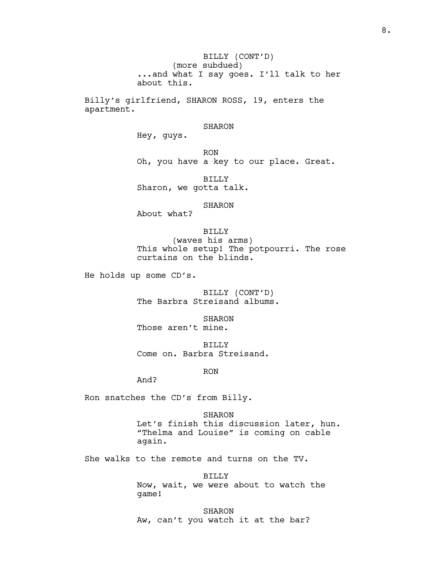BILLY (CONT'D) (more subdued) ...and what I say goes. I'll talk to her about this.

Billy's girlfriend, SHARON ROSS, 19, enters the apartment.

### SHARON

Hey, guys.

RON Oh, you have a key to our place. Great.

BILLY Sharon, we gotta talk.

### SHARON

About what?

BILLY (waves his arms) This whole setup! The potpourri. The rose curtains on the blinds.

He holds up some CD's.

BILLY (CONT'D) The Barbra Streisand albums.

SHARON Those aren't mine.

BILLY Come on. Barbra Streisand.

RON

And?

Ron snatches the CD's from Billy.

SHARON Let's finish this discussion later, hun. "Thelma and Louise" is coming on cable again.

She walks to the remote and turns on the TV.

BILLY Now, wait, we were about to watch the game!

SHARON Aw, can't you watch it at the bar?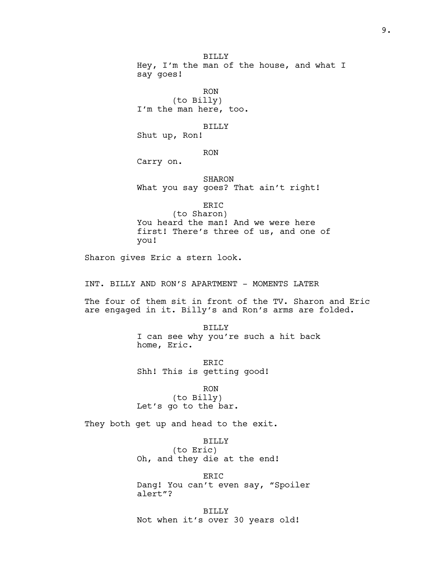BILLY Hey, I'm the man of the house, and what I say goes!

RON (to Billy) I'm the man here, too.

#### BILLY

Shut up, Ron!

RON

Carry on.

SHARON What you say goes? That ain't right!

ERIC

(to Sharon) You heard the man! And we were here first! There's three of us, and one of you!

Sharon gives Eric a stern look.

INT. BILLY AND RON'S APARTMENT - MOMENTS LATER

The four of them sit in front of the TV. Sharon and Eric are engaged in it. Billy's and Ron's arms are folded.

> BILLY I can see why you're such a hit back home, Eric.

ERIC Shh! This is getting good!

RON (to Billy) Let's go to the bar.

They both get up and head to the exit.

BILLY (to Eric) Oh, and they die at the end!

ERIC Dang! You can't even say, "Spoiler alert"?

BILLY Not when it's over 30 years old!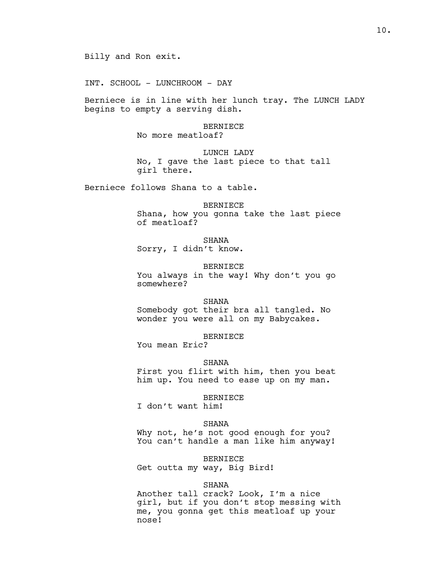INT. SCHOOL - LUNCHROOM - DAY

Berniece is in line with her lunch tray. The LUNCH LADY begins to empty a serving dish.

### BERNIECE

No more meatloaf?

LUNCH LADY No, I gave the last piece to that tall girl there.

Berniece follows Shana to a table.

# BERNIECE Shana, how you gonna take the last piece of meatloaf?

SHANA Sorry, I didn't know.

BERNIECE

You always in the way! Why don't you go somewhere?

### SHANA

Somebody got their bra all tangled. No wonder you were all on my Babycakes.

BERNIECE

You mean Eric?

### SHANA

First you flirt with him, then you beat him up. You need to ease up on my man.

# BERNIECE

I don't want him!

# SHANA

Why not, he's not good enough for you? You can't handle a man like him anyway!

BERNIECE

Get outta my way, Big Bird!

#### SHANA

Another tall crack? Look, I'm a nice girl, but if you don't stop messing with me, you gonna get this meatloaf up your nose!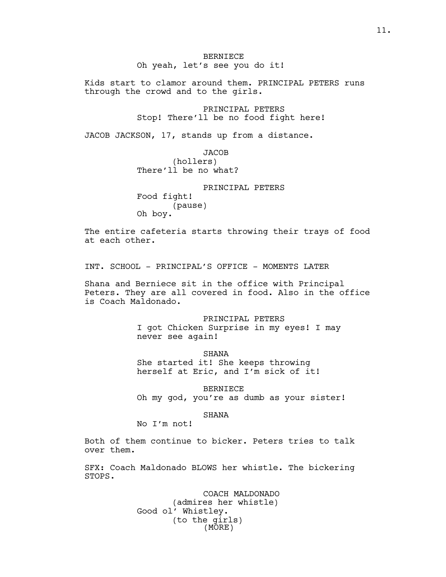BERNIECE Oh yeah, let's see you do it!

Kids start to clamor around them. PRINCIPAL PETERS runs through the crowd and to the girls.

> PRINCIPAL PETERS Stop! There'll be no food fight here!

JACOB JACKSON, 17, stands up from a distance.

**JACOB** (hollers) There'll be no what?

PRINCIPAL PETERS Food fight! (pause) Oh boy.

The entire cafeteria starts throwing their trays of food at each other.

INT. SCHOOL - PRINCIPAL'S OFFICE - MOMENTS LATER

Shana and Berniece sit in the office with Principal Peters. They are all covered in food. Also in the office is Coach Maldonado.

> PRINCIPAL PETERS I got Chicken Surprise in my eyes! I may never see again!

SHANA She started it! She keeps throwing herself at Eric, and I'm sick of it!

BERNIECE

Oh my god, you're as dumb as your sister!

# SHANA

No I'm not!

Both of them continue to bicker. Peters tries to talk over them.

SFX: Coach Maldonado BLOWS her whistle. The bickering STOPS.

> COACH MALDONADO (admires her whistle) Good ol' Whistley. (to the girls) (MORE)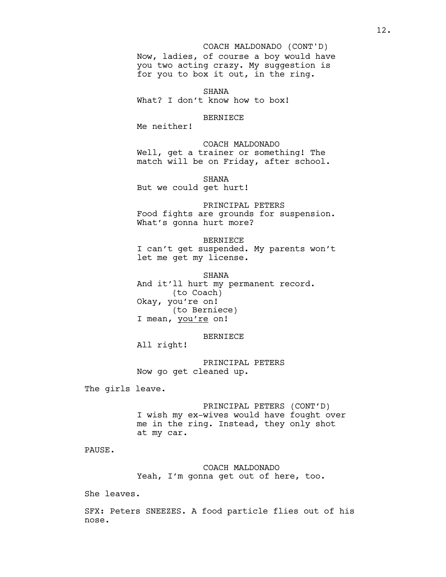# Now, ladies, of course a boy would have you two acting crazy. My suggestion is for you to box it out, in the ring. COACH MALDONADO (CONT'D)

SHANA What? I don't know how to box!

#### BERNIECE

Me neither!

# COACH MALDONADO Well, get a trainer or something! The match will be on Friday, after school.

SHANA But we could get hurt!

PRINCIPAL PETERS Food fights are grounds for suspension. What's gonna hurt more?

BERNIECE I can't get suspended. My parents won't let me get my license.

SHANA And it'll hurt my permanent record. (to Coach) Okay, you're on! (to Berniece) I mean, you're on!

BERNIECE

All right!

PRINCIPAL PETERS Now go get cleaned up.

The girls leave.

PRINCIPAL PETERS (CONT'D) I wish my ex-wives would have fought over me in the ring. Instead, they only shot at my car.

PAUSE.

COACH MALDONADO Yeah, I'm gonna get out of here, too.

She leaves.

SFX: Peters SNEEZES. A food particle flies out of his nose.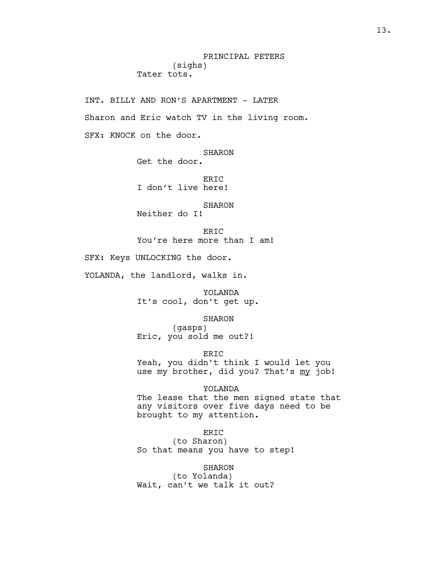# PRINCIPAL PETERS (sighs) Tater tots.

INT. BILLY AND RON'S APARTMENT - LATER Sharon and Eric watch TV in the living room. SFX: KNOCK on the door.

SHARON

Get the door.

ERIC I don't live here!

SHARON

Neither do I!

ER<sub>TC</sub> You're here more than I am!

SFX: Keys UNLOCKING the door.

YOLANDA, the landlord, walks in.

YOLANDA It's cool, don't get up.

SHARON

(gasps) Eric, you sold me out?!

ERIC Yeah, you didn't think I would let you use my brother, did you? That's my job!

YOLANDA

The lease that the men signed state that any visitors over five days need to be brought to my attention.

ERIC

(to Sharon) So that means you have to step!

SHARON (to Yolanda) Wait, can't we talk it out?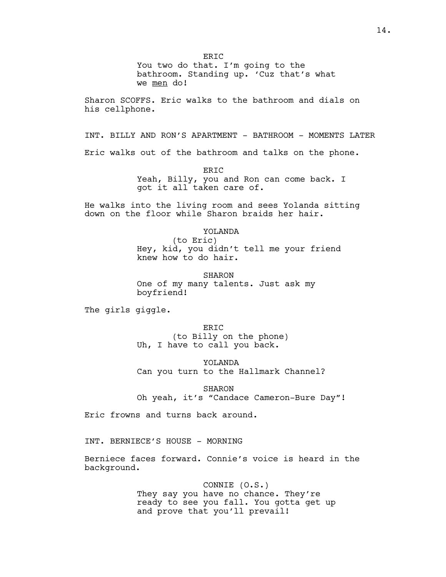ER<sub>TC</sub>

You two do that. I'm going to the bathroom. Standing up. 'Cuz that's what we men do!

Sharon SCOFFS. Eric walks to the bathroom and dials on his cellphone.

INT. BILLY AND RON'S APARTMENT - BATHROOM - MOMENTS LATER

Eric walks out of the bathroom and talks on the phone.

ERIC Yeah, Billy, you and Ron can come back. I got it all taken care of.

He walks into the living room and sees Yolanda sitting down on the floor while Sharon braids her hair.

### YOLANDA

(to Eric) Hey, kid, you didn't tell me your friend knew how to do hair.

SHARON One of my many talents. Just ask my boyfriend!

The girls giggle.

ER<sub>TC</sub> (to Billy on the phone) Uh, I have to call you back.

YOLANDA Can you turn to the Hallmark Channel?

SHARON

Oh yeah, it's "Candace Cameron-Bure Day"!

Eric frowns and turns back around.

INT. BERNIECE'S HOUSE - MORNING

Berniece faces forward. Connie's voice is heard in the background.

> CONNIE (O.S.) They say you have no chance. They're ready to see you fall. You gotta get up and prove that you'll prevail!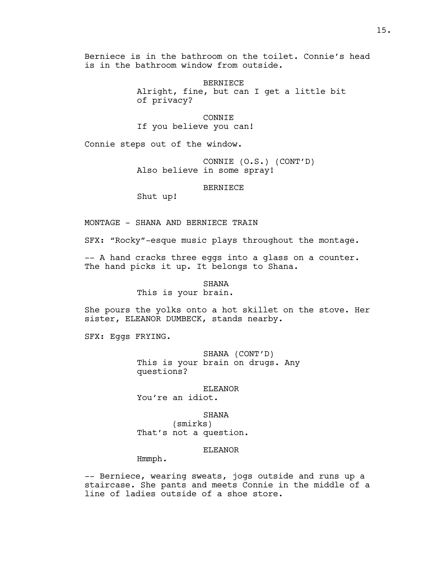Berniece is in the bathroom on the toilet. Connie's head is in the bathroom window from outside.

> BERNIECE Alright, fine, but can I get a little bit of privacy?

CONNIE If you believe you can!

Connie steps out of the window.

CONNIE (O.S.) (CONT'D) Also believe in some spray!

BERNIECE

Shut up!

MONTAGE - SHANA AND BERNIECE TRAIN

SFX: "Rocky"-esque music plays throughout the montage.

-- A hand cracks three eggs into a glass on a counter. The hand picks it up. It belongs to Shana.

SHANA

This is your brain.

She pours the yolks onto a hot skillet on the stove. Her sister, ELEANOR DUMBECK, stands nearby.

SFX: Eggs FRYING.

SHANA (CONT'D) This is your brain on drugs. Any questions?

ELEANOR

You're an idiot.

SHANA

(smirks) That's not a question.

# ELEANOR

Hmmph.

-- Berniece, wearing sweats, jogs outside and runs up a staircase. She pants and meets Connie in the middle of a line of ladies outside of a shoe store.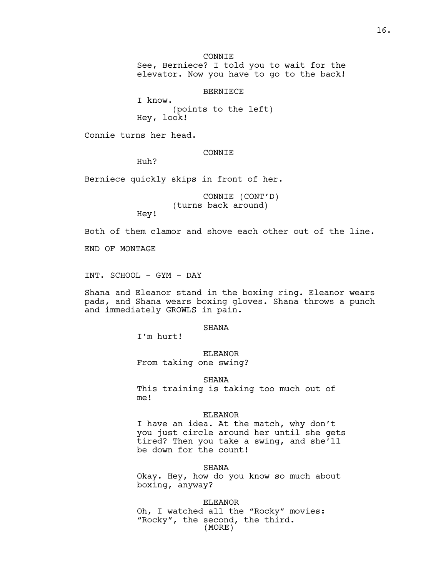CONNTE.

See, Berniece? I told you to wait for the elevator. Now you have to go to the back!

BERNIECE

I know. (points to the left) Hey, look!

Connie turns her head.

CONNIE

Huh?

Berniece quickly skips in front of her.

CONNIE (CONT'D) (turns back around)

Hey!

Both of them clamor and shove each other out of the line.

END OF MONTAGE

INT. SCHOOL - GYM - DAY

Shana and Eleanor stand in the boxing ring. Eleanor wears pads, and Shana wears boxing gloves. Shana throws a punch and immediately GROWLS in pain.

# SHANA

I'm hurt!

### ELEANOR

From taking one swing?

SHANA

This training is taking too much out of me!

#### ELEANOR

I have an idea. At the match, why don't you just circle around her until she gets tired? Then you take a swing, and she'll be down for the count!

SHANA

Okay. Hey, how do you know so much about boxing, anyway?

ELEANOR Oh, I watched all the "Rocky" movies: "Rocky", the second, the third. (MORE)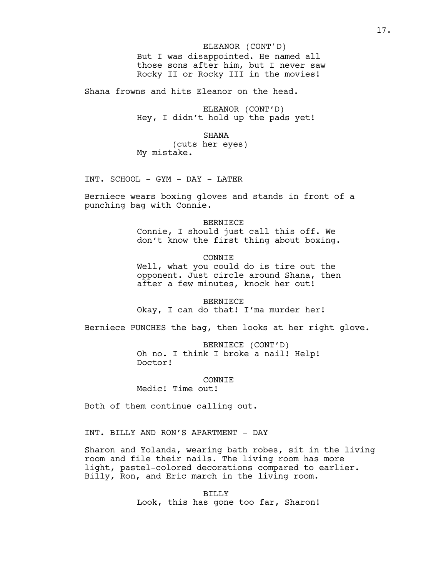But I was disappointed. He named all those sons after him, but I never saw Rocky II or Rocky III in the movies! ELEANOR (CONT'D)

Shana frowns and hits Eleanor on the head.

ELEANOR (CONT'D) Hey, I didn't hold up the pads yet!

SHANA

(cuts her eyes) My mistake.

INT. SCHOOL - GYM - DAY - LATER

Berniece wears boxing gloves and stands in front of a punching bag with Connie.

> BERNIECE Connie, I should just call this off. We don't know the first thing about boxing.

> CONNIE Well, what you could do is tire out the opponent. Just circle around Shana, then after a few minutes, knock her out!

BERNIECE Okay, I can do that! I'ma murder her!

Berniece PUNCHES the bag, then looks at her right glove.

BERNIECE (CONT'D) Oh no. I think I broke a nail! Help! Doctor!

**CONNIE** 

Medic! Time out!

Both of them continue calling out.

INT. BILLY AND RON'S APARTMENT - DAY

Sharon and Yolanda, wearing bath robes, sit in the living room and file their nails. The living room has more light, pastel-colored decorations compared to earlier. Billy, Ron, and Eric march in the living room.

> BILLY Look, this has gone too far, Sharon!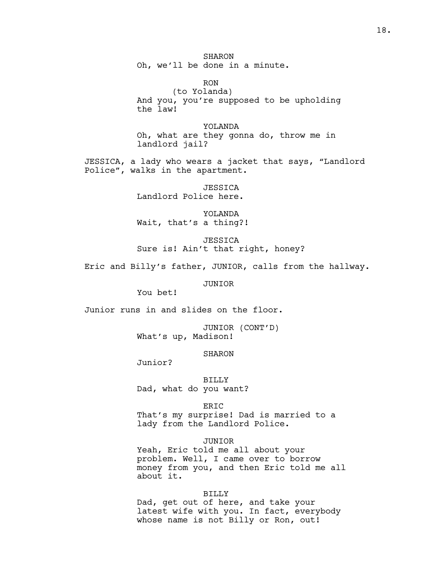SHARON Oh, we'll be done in a minute.

RON (to Yolanda) And you, you're supposed to be upholding the law!

YOLANDA Oh, what are they gonna do, throw me in landlord jail?

JESSICA, a lady who wears a jacket that says, "Landlord Police", walks in the apartment.

> *JESSICA* Landlord Police here.

YOLANDA Wait, that's a thing?!

**JESSICA** Sure is! Ain't that right, honey?

Eric and Billy's father, JUNIOR, calls from the hallway.

JUNIOR

You bet!

Junior runs in and slides on the floor.

JUNIOR (CONT'D) What's up, Madison!

SHARON

Junior?

BILLY Dad, what do you want?

ERIC

That's my surprise! Dad is married to a lady from the Landlord Police.

### JUNIOR

Yeah, Eric told me all about your problem. Well, I came over to borrow money from you, and then Eric told me all about it.

### BILLY

Dad, get out of here, and take your latest wife with you. In fact, everybody whose name is not Billy or Ron, out!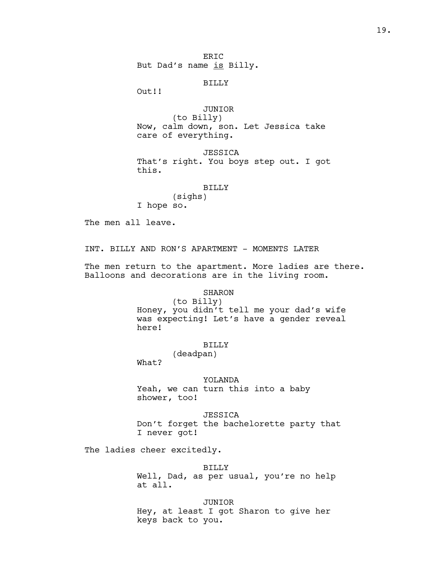ER<sub>TC</sub> But Dad's name is Billy.

BILLY

Out!!

JUNIOR (to Billy) Now, calm down, son. Let Jessica take care of everything.

JESSICA That's right. You boys step out. I got this.

### BILLY

(sighs) I hope so.

The men all leave.

INT. BILLY AND RON'S APARTMENT - MOMENTS LATER

The men return to the apartment. More ladies are there. Balloons and decorations are in the living room.

# SHARON

(to Billy) Honey, you didn't tell me your dad's wife was expecting! Let's have a gender reveal here!

### BILLY

(deadpan)

What?

### YOLANDA

Yeah, we can turn this into a baby shower, too!

JESSICA Don't forget the bachelorette party that I never got!

The ladies cheer excitedly.

BILLY Well, Dad, as per usual, you're no help at all.

JUNIOR Hey, at least I got Sharon to give her keys back to you.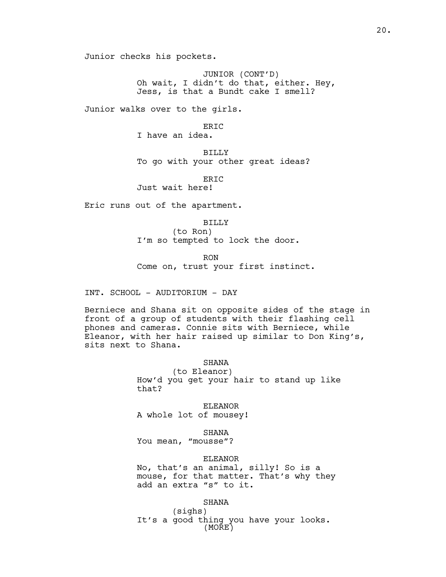Junior checks his pockets.

JUNIOR (CONT'D) Oh wait, I didn't do that, either. Hey, Jess, is that a Bundt cake I smell?

Junior walks over to the girls.

ERIC I have an idea.

BILLY To go with your other great ideas?

ERIC

Just wait here!

Eric runs out of the apartment.

BILLY (to Ron) I'm so tempted to lock the door.

RON

Come on, trust your first instinct.

INT. SCHOOL - AUDITORIUM - DAY

Berniece and Shana sit on opposite sides of the stage in front of a group of students with their flashing cell phones and cameras. Connie sits with Berniece, while Eleanor, with her hair raised up similar to Don King's, sits next to Shana.

# SHANA

(to Eleanor) How'd you get your hair to stand up like that?

ELEANOR A whole lot of mousey!

SHANA

You mean, "mousse"?

# ELEANOR

No, that's an animal, silly! So is a mouse, for that matter. That's why they add an extra "s" to it.

### SHANA

(sighs) It's a good thing you have your looks. (MORE)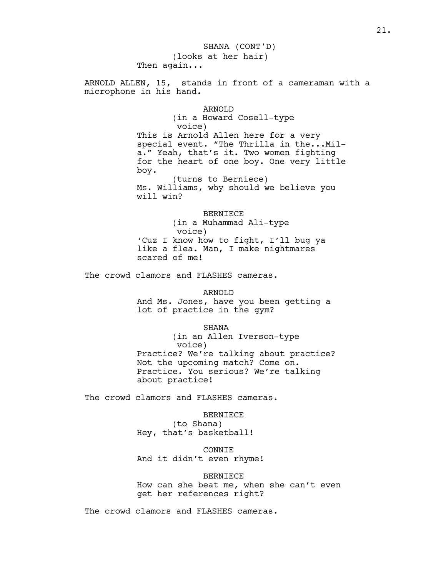(looks at her hair) Then again... ARNOLD ALLEN, 15, stands in front of a cameraman with a microphone in his hand. ARNOLD (in a Howard Cosell-type voice) This is Arnold Allen here for a very special event. "The Thrilla in the...Mila." Yeah, that's it. Two women fighting for the heart of one boy. One very little boy. (turns to Berniece) Ms. Williams, why should we believe you will win? BERNIECE (in a Muhammad Ali-type voice) 'Cuz I know how to fight, I'll bug ya like a flea. Man, I make nightmares scared of me! The crowd clamors and FLASHES cameras. ARNOLD And Ms. Jones, have you been getting a lot of practice in the gym? SHANA (in an Allen Iverson-type voice) Practice? We're talking about practice? Not the upcoming match? Come on. Practice. You serious? We're talking about practice! The crowd clamors and FLASHES cameras. BERNIECE (to Shana) Hey, that's basketball! CONNIE And it didn't even rhyme! BERNIECE How can she beat me, when she can't even get her references right? SHANA (CONT'D)

The crowd clamors and FLASHES cameras.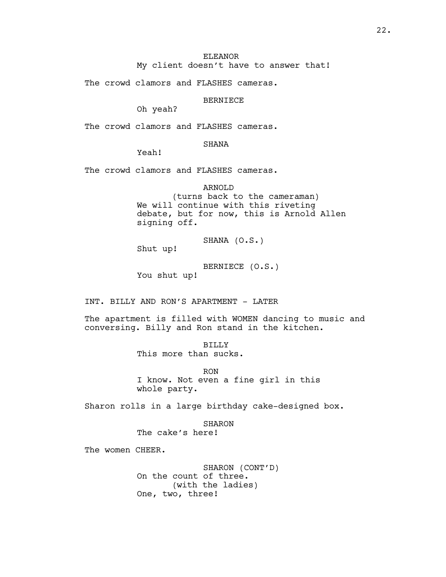# ELEANOR

My client doesn't have to answer that!

The crowd clamors and FLASHES cameras.

BERNIECE

Oh yeah?

The crowd clamors and FLASHES cameras.

# SHANA

Yeah!

The crowd clamors and FLASHES cameras.

ARNOLD (turns back to the cameraman) We will continue with this riveting debate, but for now, this is Arnold Allen signing off.

SHANA (O.S.)

Shut up!

BERNIECE (O.S.) You shut up!

INT. BILLY AND RON'S APARTMENT - LATER

The apartment is filled with WOMEN dancing to music and conversing. Billy and Ron stand in the kitchen.

> BILLY This more than sucks.

RON I know. Not even a fine girl in this whole party.

Sharon rolls in a large birthday cake-designed box.

SHARON The cake's here!

The women CHEER.

SHARON (CONT'D) On the count of three. (with the ladies) One, two, three!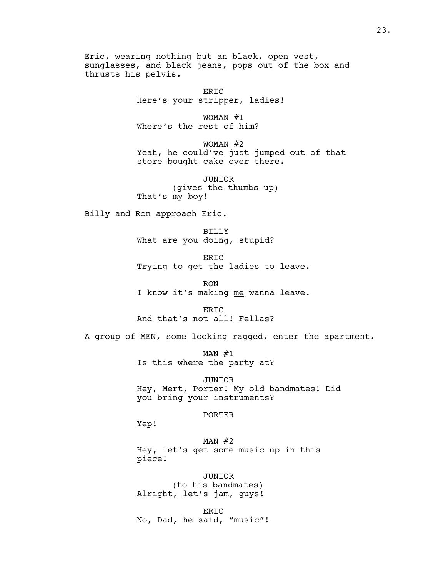Eric, wearing nothing but an black, open vest, sunglasses, and black jeans, pops out of the box and thrusts his pelvis.

> ERIC Here's your stripper, ladies!

WOMAN #1 Where's the rest of him?

WOMAN #2 Yeah, he could've just jumped out of that store-bought cake over there.

JUNIOR (gives the thumbs-up) That's my boy!

Billy and Ron approach Eric.

BILLY What are you doing, stupid?

ERIC Trying to get the ladies to leave.

RON I know it's making me wanna leave.

ERIC And that's not all! Fellas?

A group of MEN, some looking ragged, enter the apartment.

 $MAN #1$ Is this where the party at?

JUNIOR Hey, Mert, Porter! My old bandmates! Did you bring your instruments?

#### PORTER

Yep!

MAN  $#2$ Hey, let's get some music up in this piece!

JUNIOR (to his bandmates) Alright, let's jam, guys!

ERIC No, Dad, he said, "music"!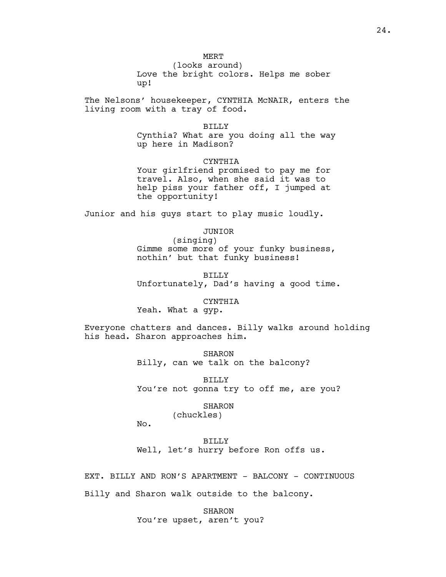(looks around) Love the bright colors. Helps me sober up!

The Nelsons' housekeeper, CYNTHIA McNAIR, enters the living room with a tray of food.

#### BILLY

Cynthia? What are you doing all the way up here in Madison?

# **CYNTHIA**

Your girlfriend promised to pay me for travel. Also, when she said it was to help piss your father off, I jumped at the opportunity!

Junior and his guys start to play music loudly.

# JUNIOR

(singing) Gimme some more of your funky business, nothin' but that funky business!

BILLY Unfortunately, Dad's having a good time.

### CYNTHIA

Yeah. What a gyp.

Everyone chatters and dances. Billy walks around holding his head. Sharon approaches him.

> SHARON Billy, can we talk on the balcony?

BILLY You're not gonna try to off me, are you?

#### SHARON

(chuckles)

No.

BILLY Well, let's hurry before Ron offs us.

EXT. BILLY AND RON'S APARTMENT - BALCONY - CONTINUOUS Billy and Sharon walk outside to the balcony.

> SHARON You're upset, aren't you?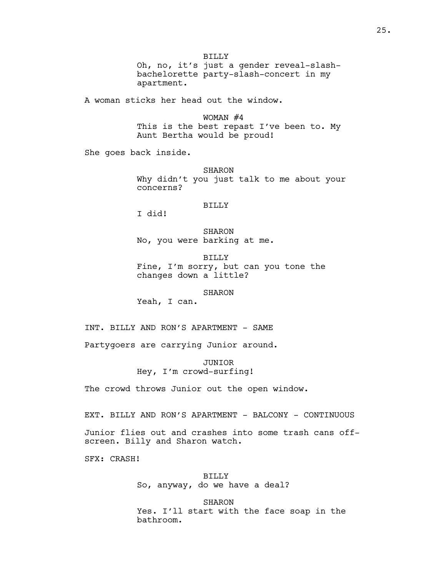BILLY Oh, no, it's just a gender reveal-slashbachelorette party-slash-concert in my apartment.

A woman sticks her head out the window.

WOMAN #4 This is the best repast I've been to. My Aunt Bertha would be proud!

She goes back inside.

SHARON Why didn't you just talk to me about your concerns?

## BILLY

I did!

SHARON No, you were barking at me.

BILLY Fine, I'm sorry, but can you tone the changes down a little?

### SHARON

Yeah, I can.

INT. BILLY AND RON'S APARTMENT - SAME

Partygoers are carrying Junior around.

JUNIOR Hey, I'm crowd-surfing!

The crowd throws Junior out the open window.

EXT. BILLY AND RON'S APARTMENT - BALCONY - CONTINUOUS

Junior flies out and crashes into some trash cans offscreen. Billy and Sharon watch.

SFX: CRASH!

BILLY So, anyway, do we have a deal?

**SHARON** Yes. I'll start with the face soap in the bathroom.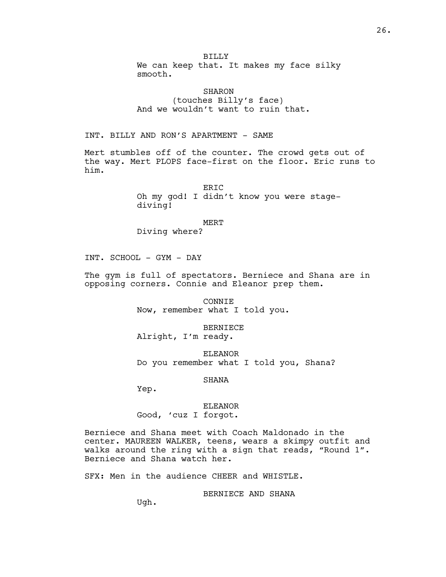BILLY We can keep that. It makes my face silky smooth.

SHARON (touches Billy's face) And we wouldn't want to ruin that.

INT. BILLY AND RON'S APARTMENT - SAME

Mert stumbles off of the counter. The crowd gets out of the way. Mert PLOPS face-first on the floor. Eric runs to him.

> ER<sub>TC</sub> Oh my god! I didn't know you were stagediving!

> > MERT

Diving where?

INT. SCHOOL - GYM - DAY

The gym is full of spectators. Berniece and Shana are in opposing corners. Connie and Eleanor prep them.

> CONNIE Now, remember what I told you.

BERNIECE Alright, I'm ready.

ELEANOR Do you remember what I told you, Shana?

SHANA

Yep.

ELEANOR Good, 'cuz I forgot.

Berniece and Shana meet with Coach Maldonado in the center. MAUREEN WALKER, teens, wears a skimpy outfit and walks around the ring with a sign that reads, "Round 1". Berniece and Shana watch her.

SFX: Men in the audience CHEER and WHISTLE.

BERNIECE AND SHANA

Ugh.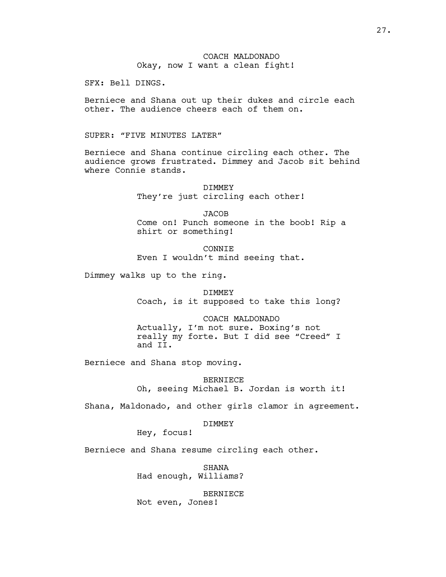SFX: Bell DINGS.

Berniece and Shana out up their dukes and circle each other. The audience cheers each of them on.

SUPER: "FIVE MINUTES LATER"

Berniece and Shana continue circling each other. The audience grows frustrated. Dimmey and Jacob sit behind where Connie stands.

> DIMMEY They're just circling each other!

JACOB Come on! Punch someone in the boob! Rip a shirt or something!

**CONNIE** Even I wouldn't mind seeing that.

Dimmey walks up to the ring.

DIMMEY Coach, is it supposed to take this long?

COACH MALDONADO Actually, I'm not sure. Boxing's not really my forte. But I did see "Creed" I and II.

Berniece and Shana stop moving.

BERNIECE Oh, seeing Michael B. Jordan is worth it!

Shana, Maldonado, and other girls clamor in agreement.

DIMMEY

Hey, focus!

Berniece and Shana resume circling each other.

SHANA Had enough, Williams?

BERNIECE Not even, Jones!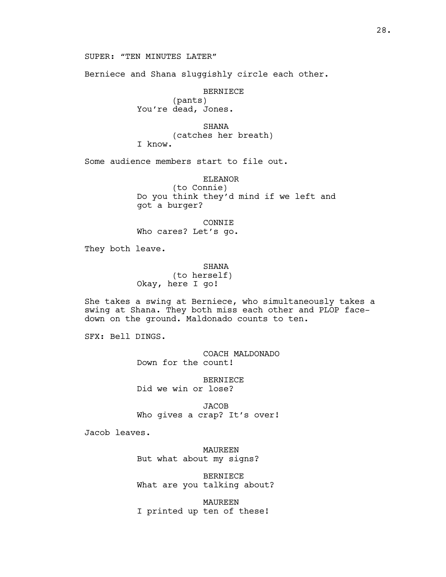Berniece and Shana sluggishly circle each other.

BERNIECE (pants) You're dead, Jones.

SHANA

(catches her breath)

I know.

Some audience members start to file out.

ELEANOR (to Connie) Do you think they'd mind if we left and got a burger?

CONNIE Who cares? Let's go.

They both leave.

# **SHANA**

(to herself) Okay, here I go!

She takes a swing at Berniece, who simultaneously takes a swing at Shana. They both miss each other and PLOP facedown on the ground. Maldonado counts to ten.

SFX: Bell DINGS.

COACH MALDONADO Down for the count!

BERNIECE Did we win or lose?

JACOB Who gives a crap? It's over!

Jacob leaves.

MAUREEN But what about my signs?

BERNIECE What are you talking about?

MAUREEN I printed up ten of these!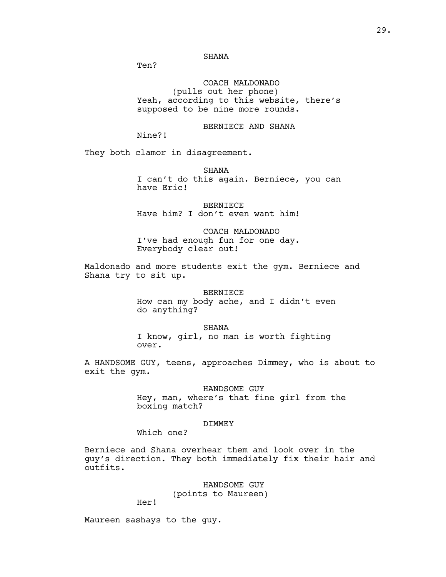Ten?

COACH MALDONADO (pulls out her phone) Yeah, according to this website, there's supposed to be nine more rounds.

BERNIECE AND SHANA

Nine?!

They both clamor in disagreement.

**SHANA** I can't do this again. Berniece, you can have Eric!

BERNIECE Have him? I don't even want him!

COACH MALDONADO I've had enough fun for one day. Everybody clear out!

Maldonado and more students exit the gym. Berniece and Shana try to sit up.

> BERNIECE How can my body ache, and I didn't even do anything?

SHANA I know, girl, no man is worth fighting over.

A HANDSOME GUY, teens, approaches Dimmey, who is about to exit the gym.

> HANDSOME GUY Hey, man, where's that fine girl from the boxing match?

### DIMMEY

Which one?

Berniece and Shana overhear them and look over in the guy's direction. They both immediately fix their hair and outfits.

HANDSOME GUY

(points to Maureen)

Her!

Maureen sashays to the guy.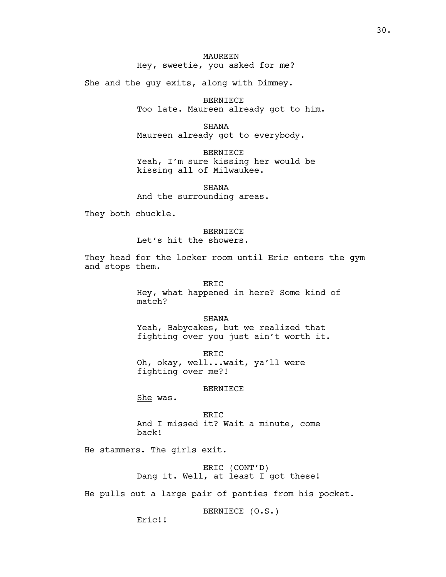She and the guy exits, along with Dimmey.

BERNIECE Too late. Maureen already got to him.

SHANA Maureen already got to everybody.

BERNIECE Yeah, I'm sure kissing her would be kissing all of Milwaukee.

**SHANA** And the surrounding areas.

They both chuckle.

# BERNIECE

Let's hit the showers.

They head for the locker room until Eric enters the gym and stops them.

> ERIC Hey, what happened in here? Some kind of match?

SHANA Yeah, Babycakes, but we realized that fighting over you just ain't worth it.

ERIC Oh, okay, well...wait, ya'll were fighting over me?!

# BERNIECE

She was.

ERIC And I missed it? Wait a minute, come back!

He stammers. The girls exit.

ERIC (CONT'D) Dang it. Well, at least I got these!

He pulls out a large pair of panties from his pocket.

BERNIECE (O.S.)

Eric!!